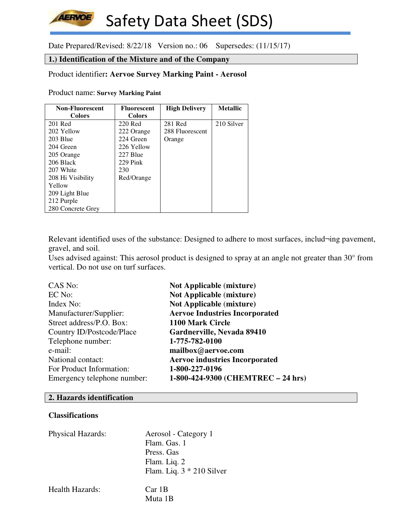Date Prepared/Revised: 8/22/18 Version no.: 06 Supersedes: (11/15/17)

# **1.) Identification of the Mixture and of the Company**

# Product identifier**: Aervoe Survey Marking Paint - Aerosol**

Product name: **Survey Marking Paint** 

**AERVOE** 

| <b>Non-Fluorescent</b> | <b>Fluorescent</b> | <b>High Delivery</b> | <b>Metallic</b> |
|------------------------|--------------------|----------------------|-----------------|
| <b>Colors</b>          | <b>Colors</b>      |                      |                 |
| 201 Red                | 220 Red            | 281 Red              | 210 Silver      |
| 202 Yellow             | 222 Orange         | 288 Fluorescent      |                 |
| 203 Blue               | 224 Green          | Orange               |                 |
| 204 Green              | 226 Yellow         |                      |                 |
| 205 Orange             | 227 Blue           |                      |                 |
| 206 Black              | $229$ Pink         |                      |                 |
| 207 White              | 230                |                      |                 |
| 208 Hi Visibility      | Red/Orange         |                      |                 |
| Yellow                 |                    |                      |                 |
| 209 Light Blue         |                    |                      |                 |
| 212 Purple             |                    |                      |                 |
| 280 Concrete Grey      |                    |                      |                 |

Relevant identified uses of the substance: Designed to adhere to most surfaces, includ-ing pavement, gravel, and soil.

Uses advised against: This aerosol product is designed to spray at an angle not greater than 30° from vertical. Do not use on turf surfaces.

| CAS No:                     | <b>Not Applicable (mixture)</b>       |
|-----------------------------|---------------------------------------|
| EC No:                      | <b>Not Applicable (mixture)</b>       |
| Index No:                   | <b>Not Applicable (mixture)</b>       |
| Manufacturer/Supplier:      | <b>Aervoe Industries Incorporated</b> |
| Street address/P.O. Box:    | 1100 Mark Circle                      |
| Country ID/Postcode/Place   | Gardnerville, Nevada 89410            |
| Telephone number:           | 1-775-782-0100                        |
| e-mail:                     | mailbox@aervoe.com                    |
| National contact:           | <b>Aervoe industries Incorporated</b> |
| For Product Information:    | 1-800-227-0196                        |
| Emergency telephone number: | 1-800-424-9300 (CHEMTREC - 24 hrs)    |

# **2. Hazards identification**

# **Classifications**

| <b>Physical Hazards:</b> | Aerosol - Category 1<br>Flam. Gas. 1<br>Press. Gas<br>Flam. Liq. 2<br>Flam. Liq. $3 * 210$ Silver |
|--------------------------|---------------------------------------------------------------------------------------------------|
| Health Hazards:          | Car 1B<br>Muta 1B                                                                                 |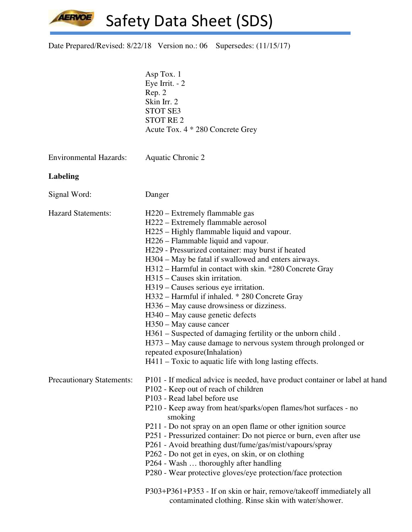AERVOE Safety Data Sheet (SDS)

| Date Prepared/Revised: 8/22/18 Version no.: 06 Supersedes: (11/15/17) |  |  |
|-----------------------------------------------------------------------|--|--|
|-----------------------------------------------------------------------|--|--|

|                                  | Asp Tox. 1<br>Eye Irrit. $-2$<br>Rep. 2<br>Skin Irr. 2<br><b>STOT SE3</b><br><b>STOT RE2</b><br>Acute Tox. 4 * 280 Concrete Grey                                                                                                                                                                                                                                                                                                                                                                                                                                                                                                                                                                                                                                                                        |
|----------------------------------|---------------------------------------------------------------------------------------------------------------------------------------------------------------------------------------------------------------------------------------------------------------------------------------------------------------------------------------------------------------------------------------------------------------------------------------------------------------------------------------------------------------------------------------------------------------------------------------------------------------------------------------------------------------------------------------------------------------------------------------------------------------------------------------------------------|
| <b>Environmental Hazards:</b>    | Aquatic Chronic 2                                                                                                                                                                                                                                                                                                                                                                                                                                                                                                                                                                                                                                                                                                                                                                                       |
| Labeling                         |                                                                                                                                                                                                                                                                                                                                                                                                                                                                                                                                                                                                                                                                                                                                                                                                         |
| Signal Word:                     | Danger                                                                                                                                                                                                                                                                                                                                                                                                                                                                                                                                                                                                                                                                                                                                                                                                  |
| <b>Hazard Statements:</b>        | H220 – Extremely flammable gas<br>H222 – Extremely flammable aerosol<br>H225 – Highly flammable liquid and vapour.<br>H226 – Flammable liquid and vapour.<br>H229 - Pressurized container: may burst if heated<br>H304 – May be fatal if swallowed and enters airways.<br>H312 - Harmful in contact with skin. *280 Concrete Gray<br>H315 – Causes skin irritation.<br>H319 – Causes serious eye irritation.<br>H332 - Harmful if inhaled. * 280 Concrete Gray<br>H336 – May cause drowsiness or dizziness.<br>H340 – May cause genetic defects<br>H350 – May cause cancer<br>H361 – Suspected of damaging fertility or the unborn child.<br>H373 - May cause damage to nervous system through prolonged or<br>repeated exposure(Inhalation)<br>H411 – Toxic to aquatic life with long lasting effects. |
| <b>Precautionary Statements:</b> | P101 - If medical advice is needed, have product container or label at hand<br>P102 - Keep out of reach of children<br>P103 - Read label before use<br>P210 - Keep away from heat/sparks/open flames/hot surfaces - no<br>smoking<br>P211 - Do not spray on an open flame or other ignition source<br>P251 - Pressurized container: Do not pierce or burn, even after use<br>P261 - Avoid breathing dust/fume/gas/mist/vapours/spray<br>P262 - Do not get in eyes, on skin, or on clothing<br>P264 - Wash  thoroughly after handling<br>P280 - Wear protective gloves/eye protection/face protection<br>P303+P361+P353 - If on skin or hair, remove/takeoff immediately all<br>contaminated clothing. Rinse skin with water/shower.                                                                     |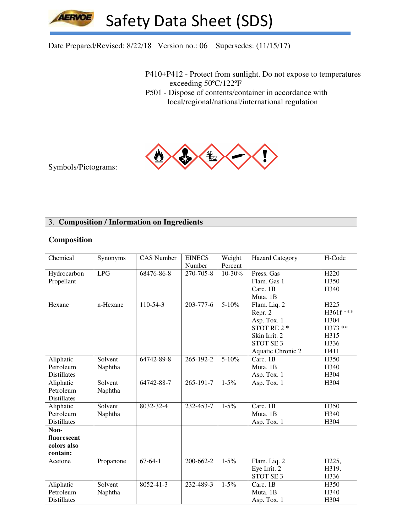# Date Prepared/Revised: 8/22/18 Version no.: 06 Supersedes: (11/15/17)

P410+P412 - Protect from sunlight. Do not expose to temperatures exceeding 50ºC/122ºF

 P501 - Dispose of contents/container in accordance with local/regional/national/international regulation



Symbols/Pictograms:

# 3. **Composition / Information on Ingredients**

#### **Composition**

| Chemical           | Synonyms   | <b>CAS Number</b> | <b>EINECS</b> | Weight    | <b>Hazard Category</b> | H-Code           |
|--------------------|------------|-------------------|---------------|-----------|------------------------|------------------|
|                    |            |                   | Number        | Percent   |                        |                  |
| Hydrocarbon        | <b>LPG</b> | 68476-86-8        | 270-705-8     | 10-30%    | Press. Gas             | H <sub>220</sub> |
| Propellant         |            |                   |               |           | Flam. Gas 1            | H350             |
|                    |            |                   |               |           | Carc. 1B               | H340             |
|                    |            |                   |               |           | Muta. 1B               |                  |
| Hexane             | n-Hexane   | 110-54-3          | 203-777-6     | $5 - 10%$ | Flam. Liq. 2           | H <sub>225</sub> |
|                    |            |                   |               |           | Repr. 2                | H361f ***        |
|                    |            |                   |               |           | Asp. Tox. 1            | H304             |
|                    |            |                   |               |           | STOT RE 2 *            | H373 **          |
|                    |            |                   |               |           | Skin Irrit. 2          | H315             |
|                    |            |                   |               |           | STOT SE <sub>3</sub>   | H336             |
|                    |            |                   |               |           | Aquatic Chronic 2      | H411             |
| Aliphatic          | Solvent    | 64742-89-8        | 265-192-2     | $5 - 10%$ | Carc. 1B               | H350             |
| Petroleum          | Naphtha    |                   |               |           | Muta. 1B               | H340             |
| <b>Distillates</b> |            |                   |               |           | Asp. Tox. 1            | H304             |
| Aliphatic          | Solvent    | 64742-88-7        | 265-191-7     | $1 - 5\%$ | Asp. Tox. 1            | H304             |
| Petroleum          | Naphtha    |                   |               |           |                        |                  |
| <b>Distillates</b> |            |                   |               |           |                        |                  |
| Aliphatic          | Solvent    | 8032-32-4         | 232-453-7     | $1 - 5\%$ | Carc. $1\overline{B}$  | H350             |
| Petroleum          | Naphtha    |                   |               |           | Muta. 1B               | H340             |
| <b>Distillates</b> |            |                   |               |           | Asp. Tox. 1            | H304             |
| Non-               |            |                   |               |           |                        |                  |
| fluorescent        |            |                   |               |           |                        |                  |
| colors also        |            |                   |               |           |                        |                  |
| contain:           |            |                   |               |           |                        |                  |
| Acetone            | Propanone  | $67-64-1$         | 200-662-2     | $1 - 5\%$ | Flam. Liq. 2           | H225,            |
|                    |            |                   |               |           | Eye Irrit. 2           | H319,            |
|                    |            |                   |               |           | STOT SE 3              | H336             |
| Aliphatic          | Solvent    | 8052-41-3         | 232-489-3     | $1 - 5\%$ | Carc. 1B               | H350             |
| Petroleum          | Naphtha    |                   |               |           | Muta. 1B               | H340             |
| Distillates        |            |                   |               |           | Asp. Tox. 1            | H304             |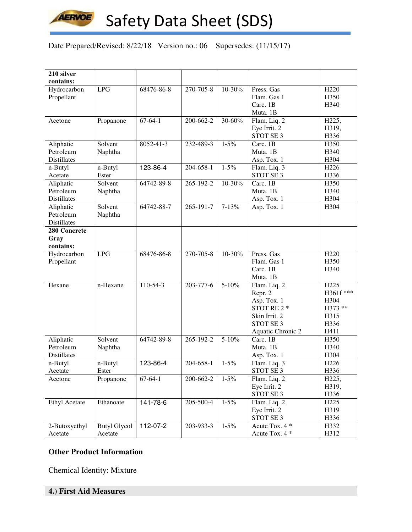

Date Prepared/Revised: 8/22/18 Version no.: 06 Supersedes: (11/15/17)

| 210 silver           |                     |               |                 |           |                      |                  |
|----------------------|---------------------|---------------|-----------------|-----------|----------------------|------------------|
| contains:            |                     |               |                 |           |                      |                  |
| Hydrocarbon          | LPG                 | 68476-86-8    | 270-705-8       | 10-30%    | Press. Gas           | H <sub>220</sub> |
| Propellant           |                     |               |                 |           | Flam. Gas 1          | H350             |
|                      |                     |               |                 |           | Carc. 1B             | H340             |
|                      |                     |               |                 |           | Muta. 1B             |                  |
| Acetone              | Propanone           | $67 - 64 - 1$ | 200-662-2       | 30-60%    | Flam. Liq. 2         | H225,            |
|                      |                     |               |                 |           | Eye Irrit. 2         | H319,            |
|                      |                     |               |                 |           | STOT SE 3            | H336             |
| Aliphatic            | Solvent             | 8052-41-3     | 232-489-3       | $1 - 5\%$ | Carc. 1B             | H350             |
| Petroleum            | Naphtha             |               |                 |           | Muta. 1B             | H340             |
| Distillates          |                     |               |                 |           | Asp. Tox. 1          | H304             |
| n-Butyl              | n-Butyl             | 123-86-4      | 204-658-1       | $1 - 5\%$ | Flam. Liq. 3         | H <sub>226</sub> |
| Acetate              | Ester               |               |                 |           | STOT SE 3            | H336             |
| Aliphatic            | Solvent             | 64742-89-8    | 265-192-2       | 10-30%    | Carc. 1B             | H350             |
| Petroleum            | Naphtha             |               |                 |           | Muta. 1B             | H340             |
| <b>Distillates</b>   |                     |               |                 |           | Asp. Tox. 1          | H304             |
| Aliphatic            | Solvent             | 64742-88-7    | 265-191-7       | $7 - 13%$ | Asp. Tox. 1          | H304             |
| Petroleum            | Naphtha             |               |                 |           |                      |                  |
| <b>Distillates</b>   |                     |               |                 |           |                      |                  |
| 280 Concrete         |                     |               |                 |           |                      |                  |
| Gray                 |                     |               |                 |           |                      |                  |
| contains:            |                     |               |                 |           |                      |                  |
| Hydrocarbon          | LPG                 | 68476-86-8    | $270 - 705 - 8$ | 10-30%    | Press. Gas           | H <sub>220</sub> |
| Propellant           |                     |               |                 |           | Flam. Gas 1          | H350             |
|                      |                     |               |                 |           | Carc. 1B             | H340             |
|                      |                     |               |                 |           | Muta. 1B             |                  |
| Hexane               | n-Hexane            | $110-54-3$    | 203-777-6       | $5 - 10%$ | Flam. Liq. 2         | H <sub>225</sub> |
|                      |                     |               |                 |           | Repr. 2              | H361f***         |
|                      |                     |               |                 |           | Asp. Tox. 1          | H304             |
|                      |                     |               |                 |           | STOT RE 2 *          | H373 **          |
|                      |                     |               |                 |           | Skin Irrit. 2        | H315             |
|                      |                     |               |                 |           | STOT SE <sub>3</sub> | H336             |
|                      |                     |               |                 |           | Aquatic Chronic 2    | H411             |
| Aliphatic            | Solvent             | 64742-89-8    | 265-192-2       | $5 - 10%$ | Carc. 1B             | H350             |
| Petroleum            | Naphtha             |               |                 |           | Muta. 1B             | H340             |
| <b>Distillates</b>   |                     |               |                 |           | Asp. Tox. 1          | H304             |
| n-Butyl              | n-Butyl             | 123-86-4      | 204-658-1       | $1 - 5\%$ | Flam. Liq. 3         | H <sub>226</sub> |
| Acetate              | Ester               |               |                 |           | STOT SE 3            | H336             |
| Acetone              | Propanone           | $67-64-1$     | 200-662-2       | $1 - 5\%$ | Flam. Liq. 2         | H225,            |
|                      |                     |               |                 |           | Eye Irrit. 2         | H319,            |
|                      |                     |               |                 |           | STOT SE 3            | H336             |
| <b>Ethyl Acetate</b> | Ethanoate           | 141-78-6      | 205-500-4       | $1 - 5\%$ | Flam. Liq. 2         | H <sub>225</sub> |
|                      |                     |               |                 |           | Eye Irrit. 2         | H319             |
|                      |                     |               |                 |           | STOT SE 3            | H336             |
| 2-Butoxyethyl        | <b>Butyl Glycol</b> | 112-07-2      | 203-933-3       | $1 - 5\%$ | Acute Tox. 4 *       | H332             |
| Acetate              | Acetate             |               |                 |           | Acute Tox. 4 *       | H312             |

# **Other Product Information**

Chemical Identity: Mixture

**4.) First Aid Measures**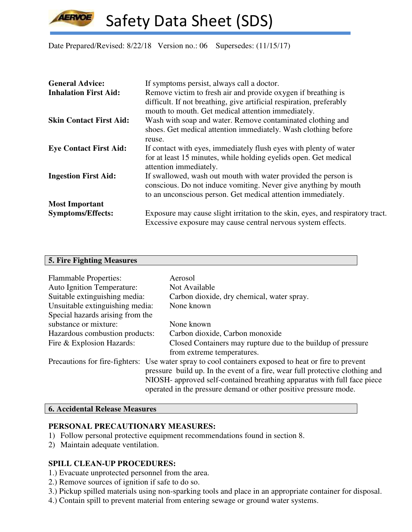**AERVOE** 

Safety Data Sheet (SDS)

Date Prepared/Revised: 8/22/18 Version no.: 06 Supersedes: (11/15/17)

| <b>General Advice:</b>         | If symptoms persist, always call a doctor.                                     |
|--------------------------------|--------------------------------------------------------------------------------|
| <b>Inhalation First Aid:</b>   | Remove victim to fresh air and provide oxygen if breathing is                  |
|                                | difficult. If not breathing, give artificial respiration, preferably           |
|                                | mouth to mouth. Get medical attention immediately.                             |
| <b>Skin Contact First Aid:</b> | Wash with soap and water. Remove contaminated clothing and                     |
|                                | shoes. Get medical attention immediately. Wash clothing before                 |
|                                | reuse.                                                                         |
| <b>Eye Contact First Aid:</b>  | If contact with eyes, immediately flush eyes with plenty of water              |
|                                | for at least 15 minutes, while holding eyelids open. Get medical               |
|                                | attention immediately.                                                         |
| <b>Ingestion First Aid:</b>    | If swallowed, wash out mouth with water provided the person is                 |
|                                | conscious. Do not induce vomiting. Never give anything by mouth                |
|                                | to an unconscious person. Get medical attention immediately.                   |
| <b>Most Important</b>          |                                                                                |
| <b>Symptoms/Effects:</b>       | Exposure may cause slight irritation to the skin, eyes, and respiratory tract. |
|                                | Excessive exposure may cause central nervous system effects.                   |

## **5. Fire Fighting Measures**

| <b>Flammable Properties:</b><br><b>Auto Ignition Temperature:</b> | Aerosol<br>Not Available                                                                                                                                                                                                                                                                                                            |
|-------------------------------------------------------------------|-------------------------------------------------------------------------------------------------------------------------------------------------------------------------------------------------------------------------------------------------------------------------------------------------------------------------------------|
| Suitable extinguishing media:                                     | Carbon dioxide, dry chemical, water spray.                                                                                                                                                                                                                                                                                          |
| Unsuitable extinguishing media:                                   | None known                                                                                                                                                                                                                                                                                                                          |
| Special hazards arising from the                                  |                                                                                                                                                                                                                                                                                                                                     |
| substance or mixture:                                             | None known                                                                                                                                                                                                                                                                                                                          |
| Hazardous combustion products:                                    | Carbon dioxide, Carbon monoxide                                                                                                                                                                                                                                                                                                     |
| Fire & Explosion Hazards:                                         | Closed Containers may rupture due to the buildup of pressure<br>from extreme temperatures.                                                                                                                                                                                                                                          |
|                                                                   | Precautions for fire-fighters: Use water spray to cool containers exposed to heat or fire to prevent<br>pressure build up. In the event of a fire, wear full protective clothing and<br>NIOSH- approved self-contained breathing apparatus with full face piece<br>operated in the pressure demand or other positive pressure mode. |

# **6. Accidental Release Measures**

# **PERSONAL PRECAUTIONARY MEASURES:**

- 1) Follow personal protective equipment recommendations found in section 8.
- 2) Maintain adequate ventilation.

# **SPILL CLEAN-UP PROCEDURES:**

- 1.) Evacuate unprotected personnel from the area.
- 2.) Remove sources of ignition if safe to do so.
- 3.) Pickup spilled materials using non-sparking tools and place in an appropriate container for disposal.
- 4.) Contain spill to prevent material from entering sewage or ground water systems.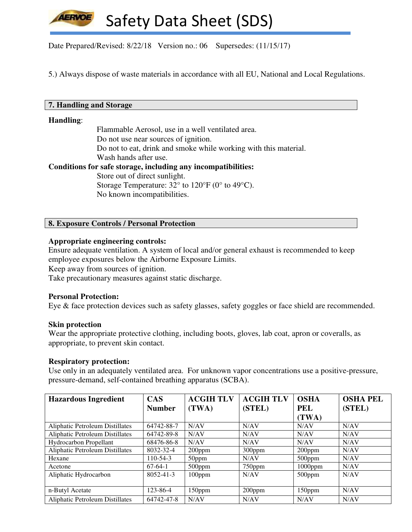Date Prepared/Revised: 8/22/18 Version no.: 06 Supersedes: (11/15/17)

5.) Always dispose of waste materials in accordance with all EU, National and Local Regulations.

#### **7. Handling and Storage**

### **Handling**:

 Flammable Aerosol, use in a well ventilated area. Do not use near sources of ignition. Do not to eat, drink and smoke while working with this material. Wash hands after use. **Conditions for safe storage, including any incompatibilities:**  Store out of direct sunlight. Storage Temperature:  $32^{\circ}$  to  $120^{\circ}$ F (0° to 49°C). No known incompatibilities.

## **8. Exposure Controls / Personal Protection**

#### **Appropriate engineering controls:**

Ensure adequate ventilation. A system of local and/or general exhaust is recommended to keep employee exposures below the Airborne Exposure Limits.

Keep away from sources of ignition.

Take precautionary measures against static discharge.

#### **Personal Protection:**

Eye & face protection devices such as safety glasses, safety goggles or face shield are recommended.

#### **Skin protection**

Wear the appropriate protective clothing, including boots, gloves, lab coat, apron or coveralls, as appropriate, to prevent skin contact.

#### **Respiratory protection:**

Use only in an adequately ventilated area. For unknown vapor concentrations use a positive-pressure, pressure-demand, self-contained breathing apparatus (SCBA).

| <b>Hazardous Ingredient</b>            | <b>CAS</b>      | <b>ACGIH TLV</b> | <b>ACGIH TLV</b> | <b>OSHA</b> | <b>OSHA PEL</b> |
|----------------------------------------|-----------------|------------------|------------------|-------------|-----------------|
|                                        | <b>Number</b>   | (TWA)            | (STEL)           | <b>PEL</b>  | (STEL)          |
|                                        |                 |                  |                  | (TWA)       |                 |
| Aliphatic Petroleum Distillates        | 64742-88-7      | N/AV             | N/AV             | N/AV        | N/AV            |
| <b>Aliphatic Petroleum Distillates</b> | 64742-89-8      | N/AV             | N/AV             | N/AV        | N/AV            |
| <b>Hydrocarbon Propellant</b>          | 68476-86-8      | N/AV             | N/AV             | N/AV        | N/AV            |
| <b>Aliphatic Petroleum Distillates</b> | 8032-32-4       | $200$ ppm        | $300$ ppm        | $200$ ppm   | N/AV            |
| Hexane                                 | $110 - 54 - 3$  | 50ppm            | N/AV             | $500$ ppm   | N/AV            |
| Acetone                                | $67-64-1$       | $500$ ppm        | 750ppm           | $1000$ ppm  | N/AV            |
| Aliphatic Hydrocarbon                  | $8052 - 41 - 3$ | $100$ ppm        | N/AV             | $500$ ppm   | N/AV            |
|                                        |                 |                  |                  |             |                 |
| n-Butyl Acetate                        | 123-86-4        | $150$ ppm        | $200$ ppm        | 150ppm      | N/AV            |
| <b>Aliphatic Petroleum Distillates</b> | 64742-47-8      | N/AV             | N/AV             | N/AV        | N/AV            |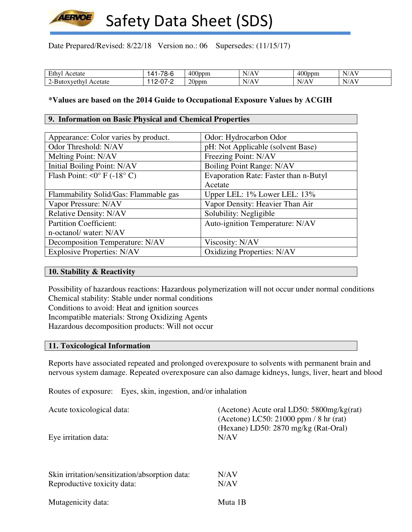

Date Prepared/Revised: 8/22/18 Version no.: 06 Supersedes: (11/15/17)

| -<br>cetate<br>டப     | $\overline{\phantom{a}}$<br>Λ<br>റ-സ | $400$ ppm         | - 7<br>. .<br>.          | $\overline{0}$<br>FOUDDM. | $\mathbf{v}$<br>$\sim$<br>$N/r_{\rm h}$ |
|-----------------------|--------------------------------------|-------------------|--------------------------|---------------------------|-----------------------------------------|
| Acetate<br>7ethv.<br> | --<br>_<br>.                         | $\Delta$<br>20ppm | <b>x</b> 1<br>$  -$<br>. | N<br>. .                  | $N/r_{\rm h}$                           |

## **\*Values are based on the 2014 Guide to Occupational Exposure Values by ACGIH**

#### **9. Information on Basic Physical and Chemical Properties**

| Appearance: Color varies by product.        | Odor: Hydrocarbon Odor                |
|---------------------------------------------|---------------------------------------|
| Odor Threshold: N/AV                        | pH: Not Applicable (solvent Base)     |
| Melting Point: N/AV                         | Freezing Point: N/AV                  |
| Initial Boiling Point: N/AV                 | Boiling Point Range: N/AV             |
| Flash Point: $\langle 0^{\circ}$ F (-18° C) | Evaporation Rate: Faster than n-Butyl |
|                                             | Acetate                               |
| Flammability Solid/Gas: Flammable gas       | Upper LEL: 1% Lower LEL: 13%          |
| Vapor Pressure: N/AV                        | Vapor Density: Heavier Than Air       |
| <b>Relative Density: N/AV</b>               | Solubility: Negligible                |
| <b>Partition Coefficient:</b>               | Auto-ignition Temperature: N/AV       |
| n-octanol/water: N/AV                       |                                       |
| Decomposition Temperature: N/AV             | Viscosity: N/AV                       |
| <b>Explosive Properties: N/AV</b>           | <b>Oxidizing Properties: N/AV</b>     |

#### **10. Stability & Reactivity**

Possibility of hazardous reactions: Hazardous polymerization will not occur under normal conditions Chemical stability: Stable under normal conditions Conditions to avoid: Heat and ignition sources Incompatible materials: Strong Oxidizing Agents Hazardous decomposition products: Will not occur

#### **11. Toxicological Information**

Reports have associated repeated and prolonged overexposure to solvents with permanent brain and nervous system damage. Repeated overexposure can also damage kidneys, lungs, liver, heart and blood

Routes of exposure: Eyes, skin, ingestion, and/or inhalation

| Acute toxicological data:                      | (Acetone) Acute oral LD50: $5800$ mg/kg(rat)<br>(Acetone) LC50: 21000 ppm / 8 hr (rat)<br>(Hexane) LD50: 2870 mg/kg (Rat-Oral) |
|------------------------------------------------|--------------------------------------------------------------------------------------------------------------------------------|
| Eye irritation data:                           | N/AV                                                                                                                           |
| Skin irritation/sensitization/absorption data: | N/AV                                                                                                                           |
| Reproductive toxicity data:                    | N/AV                                                                                                                           |
| Mutagenicity data:                             | Muta 1B                                                                                                                        |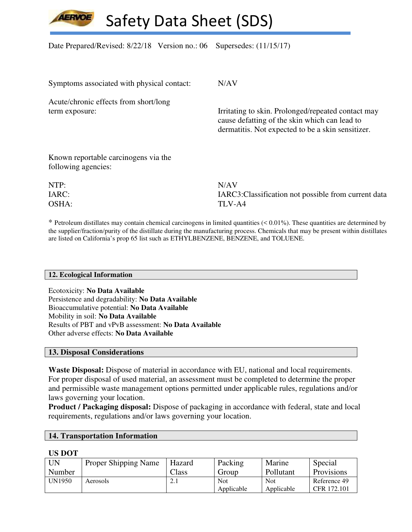

Date Prepared/Revised: 8/22/18 Version no.: 06 Supersedes: (11/15/17)

| Symptoms associated with physical contact:                  | N/AV                                                                                                                                                     |
|-------------------------------------------------------------|----------------------------------------------------------------------------------------------------------------------------------------------------------|
| Acute/chronic effects from short/long                       |                                                                                                                                                          |
| term exposure:                                              | Irritating to skin. Prolonged/repeated contact may<br>cause defatting of the skin which can lead to<br>dermatitis. Not expected to be a skin sensitizer. |
| Known reportable carcinogens via the<br>following agencies: |                                                                                                                                                          |
| NTP:                                                        | N/AV                                                                                                                                                     |
| IARC:                                                       | IARC3: Classification not possible from current data                                                                                                     |

 $*$  Petroleum distillates may contain chemical carcinogens in limited quantities  $( $0.01\%$ ). These quantities are determined by$ the supplier/fraction/purity of the distillate during the manufacturing process. Chemicals that may be present within distillates are listed on California's prop 65 list such as ETHYLBENZENE, BENZENE, and TOLUENE.

#### **12. Ecological Information**

Ecotoxicity: **No Data Available** Persistence and degradability: **No Data Available** Bioaccumulative potential: **No Data Available** Mobility in soil: **No Data Available** Results of PBT and vPvB assessment: **No Data Available** Other adverse effects: **No Data Available**

OSHA: TLV-A4

#### **13. Disposal Considerations**

**Waste Disposal:** Dispose of material in accordance with EU, national and local requirements. For proper disposal of used material, an assessment must be completed to determine the proper and permissible waste management options permitted under applicable rules, regulations and/or laws governing your location.

**Product / Packaging disposal:** Dispose of packaging in accordance with federal, state and local requirements, regulations and/or laws governing your location.

#### **14. Transportation Information**

#### **US DOT**

| UN     | <b>Proper Shipping Name</b> | Hazard           | Packing    | Marine     | Special      |
|--------|-----------------------------|------------------|------------|------------|--------------|
| Number |                             | $\gamma$ lass    | Group      | Pollutant  | Provisions   |
| UN1950 | Aerosols                    | $\overline{a}$ . | Not        | <b>Not</b> | Reference 49 |
|        |                             |                  | Applicable | Applicable | CFR 172.101  |